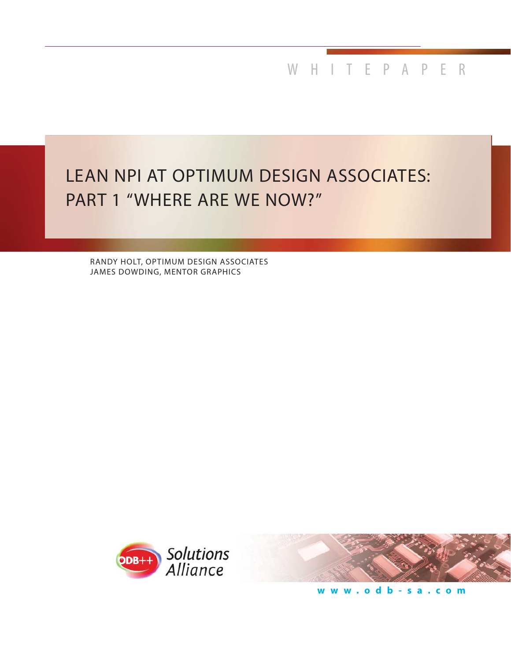WHITEPAPER

# LEAN NPI AT OPTIMUM DESIGN ASSOCIATES: PART 1 "WHERE ARE WE NOW?"

RANDY HOLT, OPTIMUM DESIGN ASSOCIATES JAMES DOWDING, MENTOR GRAPHICS





**www.odb-sa.com**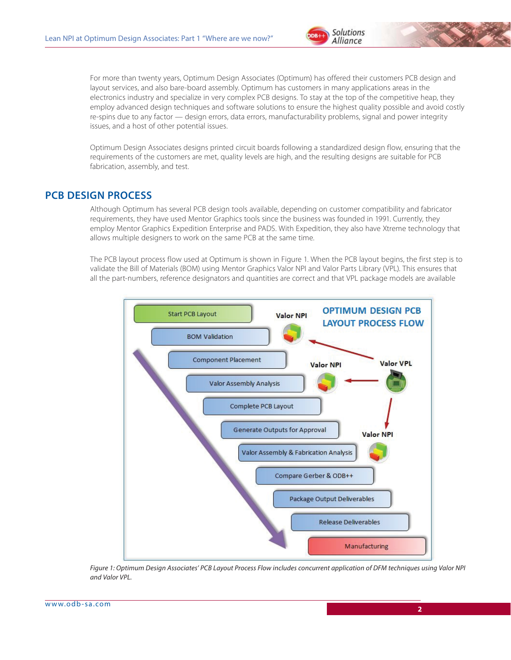

For more than twenty years, Optimum Design Associates (Optimum) has offered their customers PCB design and layout services, and also bare-board assembly. Optimum has customers in many applications areas in the electronics industry and specialize in very complex PCB designs. To stay at the top of the competitive heap, they employ advanced design techniques and software solutions to ensure the highest quality possible and avoid costly re-spins due to any factor — design errors, data errors, manufacturability problems, signal and power integrity issues, and a host of other potential issues.

Optimum Design Associates designs printed circuit boards following a standardized design flow, ensuring that the requirements of the customers are met, quality levels are high, and the resulting designs are suitable for PCB fabrication, assembly, and test.

#### **PCB DESIGN PROCESS**

Although Optimum has several PCB design tools available, depending on customer compatibility and fabricator requirements, they have used Mentor Graphics tools since the business was founded in 1991. Currently, they employ Mentor Graphics Expedition Enterprise and PADS. With Expedition, they also have Xtreme technology that allows multiple designers to work on the same PCB at the same time.

The PCB layout process flow used at Optimum is shown in Figure 1. When the PCB layout begins, the first step is to validate the Bill of Materials (BOM) using Mentor Graphics Valor NPI and Valor Parts Library (VPL). This ensures that all the part-numbers, reference designators and quantities are correct and that VPL package models are available



*Figure 1: Optimum Design Associates' PCB Layout Process Flow includes concurrent application of DFM techniques using Valor NPI and Valor VPL.*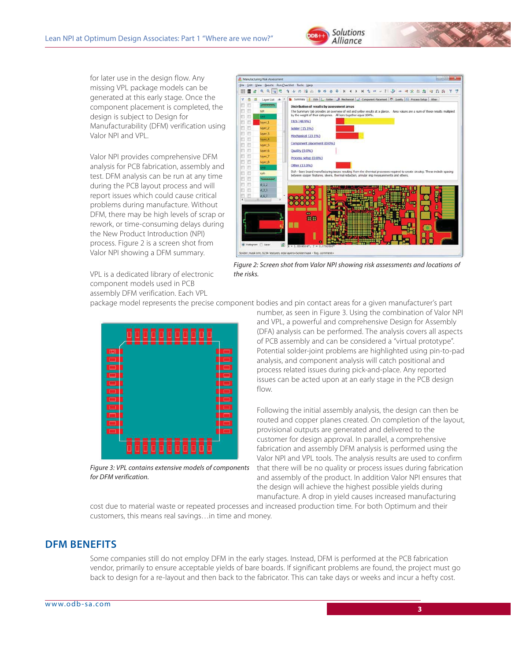

for later use in the design flow. Any missing VPL package models can be generated at this early stage. Once the component placement is completed, the design is subject to Design for Manufacturability (DFM) verification using Valor NPI and VPL.

Valor NPI provides comprehensive DFM analysis for PCB fabrication, assembly and test. DFM analysis can be run at any time during the PCB layout process and will report issues which could cause critical problems during manufacture. Without DFM, there may be high levels of scrap or rework, or time-consuming delays during the New Product Introduction (NPI) process. Figure 2 is a screen shot from Valor NPI showing a DFM summary.



*Figure 2: Screen shot from Valor NPI showing risk assessments and locations of the risks.*

VPL is a dedicated library of electronic component models used in PCB assembly DFM verification. Each VPL

package model represents the precise component bodies and pin contact areas for a given manufacturer's part



*Figure 3: VPL contains extensive models of components for DFM verification.*

number, as seen in Figure 3. Using the combination of Valor NPI and VPL, a powerful and comprehensive Design for Assembly (DFA) analysis can be performed. The analysis covers all aspects of PCB assembly and can be considered a "virtual prototype". Potential solder-joint problems are highlighted using pin-to-pad analysis, and component analysis will catch positional and process related issues during pick-and-place. Any reported issues can be acted upon at an early stage in the PCB design flow.

Following the initial assembly analysis, the design can then be routed and copper planes created. On completion of the layout, provisional outputs are generated and delivered to the customer for design approval. In parallel, a comprehensive fabrication and assembly DFM analysis is performed using the Valor NPI and VPL tools. The analysis results are used to confirm that there will be no quality or process issues during fabrication and assembly of the product. In addition Valor NPI ensures that the design will achieve the highest possible yields during manufacture. A drop in yield causes increased manufacturing

cost due to material waste or repeated processes and increased production time. For both Optimum and their customers, this means real savings…in time and money.

#### **DFM BENEFITS**

Some companies still do not employ DFM in the early stages. Instead, DFM is performed at the PCB fabrication vendor, primarily to ensure acceptable yields of bare boards. If significant problems are found, the project must go back to design for a re-layout and then back to the fabricator. This can take days or weeks and incur a hefty cost.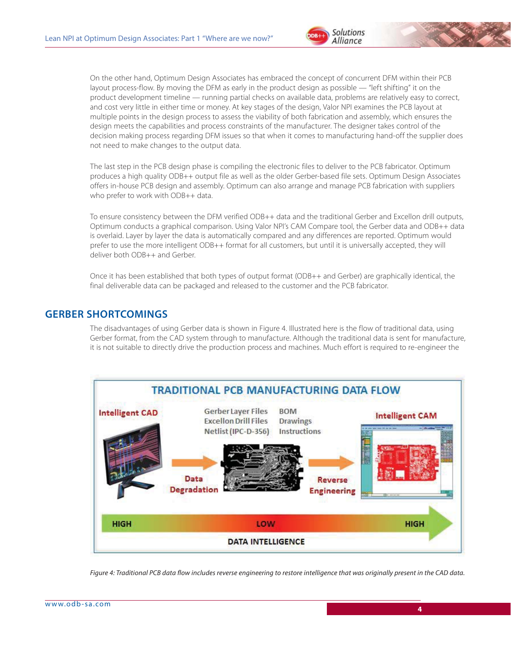



On the other hand, Optimum Design Associates has embraced the concept of concurrent DFM within their PCB layout process-flow. By moving the DFM as early in the product design as possible — "left shifting" it on the product development timeline — running partial checks on available data, problems are relatively easy to correct, and cost very little in either time or money. At key stages of the design, Valor NPI examines the PCB layout at multiple points in the design process to assess the viability of both fabrication and assembly, which ensures the design meets the capabilities and process constraints of the manufacturer. The designer takes control of the decision making process regarding DFM issues so that when it comes to manufacturing hand-off the supplier does not need to make changes to the output data.

The last step in the PCB design phase is compiling the electronic files to deliver to the PCB fabricator. Optimum produces a high quality ODB++ output file as well as the older Gerber-based file sets. Optimum Design Associates offers in-house PCB design and assembly. Optimum can also arrange and manage PCB fabrication with suppliers who prefer to work with ODB++ data.

To ensure consistency between the DFM verified ODB++ data and the traditional Gerber and Excellon drill outputs, Optimum conducts a graphical comparison. Using Valor NPI's CAM Compare tool, the Gerber data and ODB++ data is overlaid. Layer by layer the data is automatically compared and any differences are reported. Optimum would prefer to use the more intelligent ODB++ format for all customers, but until it is universally accepted, they will deliver both ODB++ and Gerber.

Once it has been established that both types of output format (ODB++ and Gerber) are graphically identical, the final deliverable data can be packaged and released to the customer and the PCB fabricator.

#### **GERBER SHORTCOMINGS**

The disadvantages of using Gerber data is shown in Figure 4. Illustrated here is the flow of traditional data, using Gerber format, from the CAD system through to manufacture. Although the traditional data is sent for manufacture, it is not suitable to directly drive the production process and machines. Much effort is required to re-engineer the



*Figure 4: Traditional PCB data flow includes reverse engineering to restore intelligence that was originally present in the CAD data.*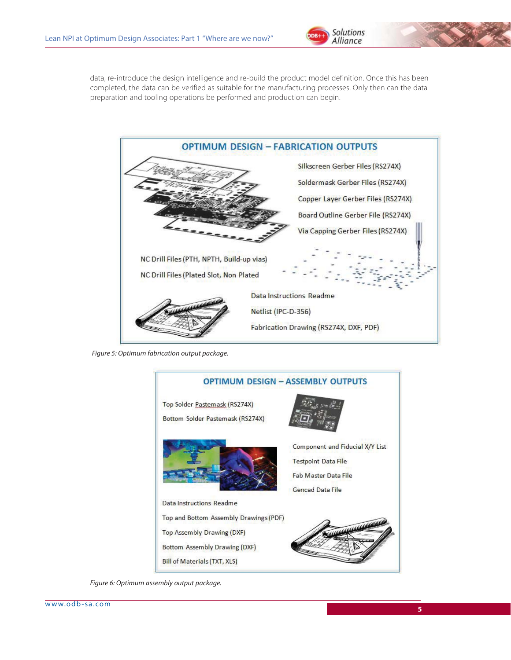

data, re-introduce the design intelligence and re-build the product model definition. Once this has been completed, the data can be verified as suitable for the manufacturing processes. Only then can the data preparation and tooling operations be performed and production can begin.



*Figure 5: Optimum fabrication output package.*



*Figure 6: Optimum assembly output package.*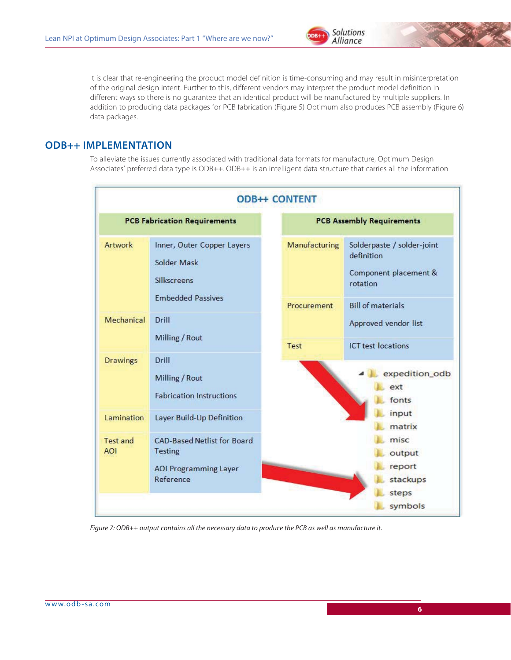

It is clear that re-engineering the product model definition is time-consuming and may result in misinterpretation of the original design intent. Further to this, different vendors may interpret the product model definition in different ways so there is no guarantee that an identical product will be manufactured by multiple suppliers. In addition to producing data packages for PCB fabrication (Figure 5) Optimum also produces PCB assembly (Figure 6) data packages.

### **ODB++ IMPLEMENTATION**

To alleviate the issues currently associated with traditional data formats for manufacture, Optimum Design Associates' preferred data type is ODB++. ODB++ is an intelligent data structure that carries all the information

| <b>ODB++ CONTENT</b>                |                                                                                            |  |                                  |                                                                                                           |
|-------------------------------------|--------------------------------------------------------------------------------------------|--|----------------------------------|-----------------------------------------------------------------------------------------------------------|
| <b>PCB Fabrication Requirements</b> |                                                                                            |  | <b>PCB Assembly Requirements</b> |                                                                                                           |
| Artwork                             | Inner, Outer Copper Layers<br>Solder Mask<br>Silkscreens<br><b>Embedded Passives</b>       |  | Manufacturing<br>Procurement     | Solderpaste / solder-joint<br>definition<br>Component placement &<br>rotation<br><b>Bill of materials</b> |
| Mechanical                          | Drill<br>Milling / Rout                                                                    |  | Test                             | Approved vendor list<br><b>ICT</b> test locations                                                         |
| <b>Drawings</b>                     | Drill<br>Milling / Rout<br><b>Fabrication Instructions</b>                                 |  |                                  | expedition_odb<br>ext<br>fonts                                                                            |
| Lamination                          | Layer Build-Up Definition                                                                  |  |                                  | input<br>matrix                                                                                           |
| Test and<br><b>AOI</b>              | CAD-Based Netlist for Board<br><b>Testing</b><br><b>AOI Programming Layer</b><br>Reference |  |                                  | misc<br>output<br>report<br>stackups<br>steps                                                             |
|                                     |                                                                                            |  |                                  | symbols                                                                                                   |

*Figure 7: ODB++ output contains all the necessary data to produce the PCB as well as manufacture it.*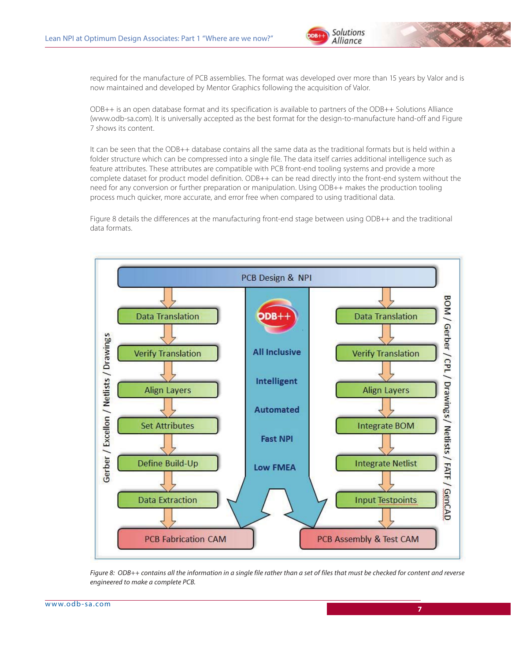

required for the manufacture of PCB assemblies. The format was developed over more than 15 years by Valor and is now maintained and developed by Mentor Graphics following the acquisition of Valor.

ODB++ is an open database format and its specification is available to partners of the ODB++ Solutions Alliance (www.odb-sa.com). It is universally accepted as the best format for the design-to-manufacture hand-off and Figure 7 shows its content.

It can be seen that the ODB++ database contains all the same data as the traditional formats but is held within a folder structure which can be compressed into a single file. The data itself carries additional intelligence such as feature attributes. These attributes are compatible with PCB front-end tooling systems and provide a more complete dataset for product model definition. ODB++ can be read directly into the front-end system without the need for any conversion or further preparation or manipulation. Using ODB++ makes the production tooling process much quicker, more accurate, and error free when compared to using traditional data.

Figure 8 details the differences at the manufacturing front-end stage between using ODB++ and the traditional data formats.



*Figure 8: ODB++ contains all the information in a single file rather than a set of files that must be checked for content and reverse engineered to make a complete PCB.*